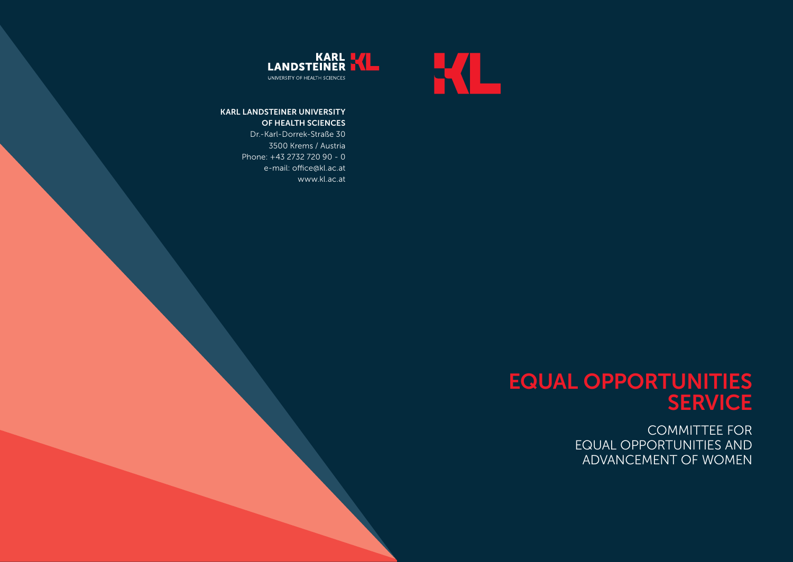



www.kl.ac.at

## KARL LANDSTEINER UNIVERSITY OF HEALTH SCIENCES Dr.-Karl-Dorrek-Straße 30 3500 Krems / Austria Phone: +43 2732 720 90 - 0 e-mail: office@kl.ac.at

EQUAL OPPORTUNITIES SERVICE

> COMMITTEE FOR EQUAL OPPORTUNITIES AND ADVANCEMENT OF WOMEN